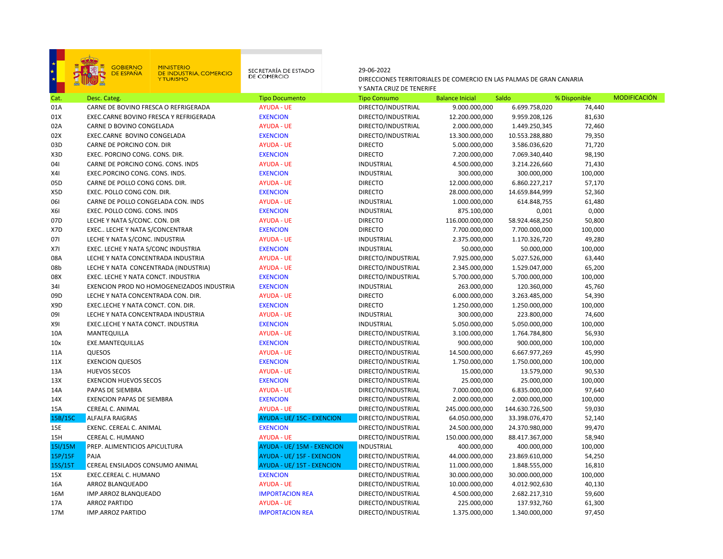# GOBIERNO<br>DE ESPAÑA 良

# MINISTERIO<br>DE INDUSTRIA, COMERCIO<br>Y TURISMO

SECRETARÍA DE ESTADO<br>DE COMERCIO

29-06-2022

DIRECCIONES TERRITORIALES DE COMERCIO EN LAS PALMAS DE GRAN CANARIA Y SANTA CRUZ DE TENERIFE

| Cat.       | Desc. Categ.                              | <b>Tipo Documento</b>             | <b>Tipo Consumo</b> | <b>Balance Inicial</b> | Saldo           | % Disponible | <b>MODIFICACION</b> |
|------------|-------------------------------------------|-----------------------------------|---------------------|------------------------|-----------------|--------------|---------------------|
| 01A        | CARNE DE BOVINO FRESCA O REFRIGERADA      | <b>AYUDA - UE</b>                 | DIRECTO/INDUSTRIAL  | 9.000.000,000          | 6.699.758,020   | 74,440       |                     |
| 01X        | EXEC.CARNE BOVINO FRESCA Y REFRIGERADA    | <b>EXENCION</b>                   | DIRECTO/INDUSTRIAL  | 12.200.000,000         | 9.959.208,126   | 81,630       |                     |
| 02A        | CARNE D BOVINO CONGELADA                  | <b>AYUDA - UE</b>                 | DIRECTO/INDUSTRIAL  | 2.000.000,000          | 1.449.250,345   | 72,460       |                     |
| 02X        | EXEC.CARNE BOVINO CONGELADA               | <b>EXENCION</b>                   | DIRECTO/INDUSTRIAL  | 13.300.000,000         | 10.553.288,880  | 79,350       |                     |
| 03D        | CARNE DE PORCINO CON. DIR                 | <b>AYUDA - UE</b>                 | <b>DIRECTO</b>      | 5.000.000,000          | 3.586.036,620   | 71,720       |                     |
| X3D        | EXEC. PORCINO CONG. CONS. DIR.            | <b>EXENCION</b>                   | <b>DIRECTO</b>      | 7.200.000,000          | 7.069.340,440   | 98,190       |                     |
| 041        | CARNE DE PORCINO CONG. CONS. INDS         | <b>AYUDA - UE</b>                 | <b>INDUSTRIAL</b>   | 4.500.000,000          | 3.214.226,660   | 71,430       |                     |
| X4I        | EXEC.PORCINO CONG. CONS. INDS.            | <b>EXENCION</b>                   | <b>INDUSTRIAL</b>   | 300.000,000            | 300.000,000     | 100,000      |                     |
| 05D        | CARNE DE POLLO CONG CONS. DIR.            | <b>AYUDA - UE</b>                 | <b>DIRECTO</b>      | 12.000.000,000         | 6.860.227,217   | 57,170       |                     |
| X5D        | EXEC. POLLO CONG CON. DIR.                | <b>EXENCION</b>                   | <b>DIRECTO</b>      | 28.000.000,000         | 14.659.844,999  | 52,360       |                     |
| 061        | CARNE DE POLLO CONGELADA CON. INDS        | <b>AYUDA - UE</b>                 | <b>INDUSTRIAL</b>   | 1.000.000,000          | 614.848,755     | 61,480       |                     |
| <b>X61</b> | EXEC. POLLO CONG. CONS. INDS              | <b>EXENCION</b>                   | <b>INDUSTRIAL</b>   | 875.100,000            | 0,001           | 0,000        |                     |
| 07D        | LECHE Y NATA S/CONC. CON. DIR             | <b>AYUDA - UE</b>                 | <b>DIRECTO</b>      | 116.000.000,000        | 58.924.468,250  | 50,800       |                     |
| X7D        | EXEC LECHE Y NATA S/CONCENTRAR            | <b>EXENCION</b>                   | <b>DIRECTO</b>      | 7.700.000,000          | 7.700.000,000   | 100,000      |                     |
| 071        | LECHE Y NATA S/CONC. INDUSTRIA            | <b>AYUDA - UE</b>                 | <b>INDUSTRIAL</b>   | 2.375.000,000          | 1.170.326,720   | 49,280       |                     |
| X7I        | EXEC. LECHE Y NATA S/CONC INDUSTRIA       | <b>EXENCION</b>                   | <b>INDUSTRIAL</b>   | 50.000,000             | 50.000,000      | 100,000      |                     |
| 08A        | LECHE Y NATA CONCENTRADA INDUSTRIA        | <b>AYUDA - UE</b>                 | DIRECTO/INDUSTRIAL  | 7.925.000,000          | 5.027.526,000   | 63,440       |                     |
| 08b        | LECHE Y NATA CONCENTRADA (INDUSTRIA)      | <b>AYUDA - UE</b>                 | DIRECTO/INDUSTRIAL  | 2.345.000,000          | 1.529.047,000   | 65,200       |                     |
| 08X        | EXEC. LECHE Y NATA CONCT. INDUSTRIA       | <b>EXENCION</b>                   | DIRECTO/INDUSTRIAL  | 5.700.000,000          | 5.700.000,000   | 100,000      |                     |
| 341        | EXENCION PROD NO HOMOGENEIZADOS INDUSTRIA | <b>EXENCION</b>                   | <b>INDUSTRIAL</b>   | 263.000,000            | 120.360,000     | 45,760       |                     |
| 09D        | LECHE Y NATA CONCENTRADA CON. DIR.        | <b>AYUDA - UE</b>                 | <b>DIRECTO</b>      | 6.000.000,000          | 3.263.485,000   | 54,390       |                     |
| X9D        | EXEC.LECHE Y NATA CONCT. CON. DIR.        | <b>EXENCION</b>                   | <b>DIRECTO</b>      | 1.250.000,000          | 1.250.000,000   | 100,000      |                     |
| 091        | LECHE Y NATA CONCENTRADA INDUSTRIA        | <b>AYUDA - UE</b>                 | <b>INDUSTRIAL</b>   | 300.000,000            | 223.800,000     | 74,600       |                     |
| X9I        | EXEC.LECHE Y NATA CONCT. INDUSTRIA        | <b>EXENCION</b>                   | <b>INDUSTRIAL</b>   | 5.050.000,000          | 5.050.000,000   | 100,000      |                     |
| 10A        | MANTEQUILLA                               | <b>AYUDA - UE</b>                 | DIRECTO/INDUSTRIAL  | 3.100.000,000          | 1.764.784,800   | 56,930       |                     |
| 10x        | EXE.MANTEQUILLAS                          | <b>EXENCION</b>                   | DIRECTO/INDUSTRIAL  | 900.000,000            | 900.000,000     | 100,000      |                     |
| 11A        | QUESOS                                    | <b>AYUDA - UE</b>                 | DIRECTO/INDUSTRIAL  | 14.500.000,000         | 6.667.977,269   | 45,990       |                     |
| 11X        | <b>EXENCION QUESOS</b>                    | <b>EXENCION</b>                   | DIRECTO/INDUSTRIAL  | 1.750.000,000          | 1.750.000,000   | 100,000      |                     |
| 13A        | <b>HUEVOS SECOS</b>                       | <b>AYUDA - UE</b>                 | DIRECTO/INDUSTRIAL  | 15.000,000             | 13.579,000      | 90,530       |                     |
| 13X        | <b>EXENCION HUEVOS SECOS</b>              | <b>EXENCION</b>                   | DIRECTO/INDUSTRIAL  | 25.000,000             | 25.000,000      | 100,000      |                     |
| 14A        | PAPAS DE SIEMBRA                          | <b>AYUDA - UE</b>                 | DIRECTO/INDUSTRIAL  | 7.000.000,000          | 6.835.000,000   | 97,640       |                     |
| 14X        | <b>EXENCION PAPAS DE SIEMBRA</b>          | <b>EXENCION</b>                   | DIRECTO/INDUSTRIAL  | 2.000.000,000          | 2.000.000,000   | 100,000      |                     |
| 15A        | CEREAL C. ANIMAL                          | <b>AYUDA - UE</b>                 | DIRECTO/INDUSTRIAL  | 245.000.000,000        | 144.630.726,500 | 59,030       |                     |
| 15B/15C    | <b>ALFALFA RAIGRAS</b>                    | AYUDA - UE/ 15C - EXENCION        | DIRECTO/INDUSTRIAL  | 64.050.000,000         | 33.398.076,470  | 52,140       |                     |
| 15E        | EXENC. CEREAL C. ANIMAL                   | <b>EXENCION</b>                   | DIRECTO/INDUSTRIAL  | 24.500.000,000         | 24.370.980,000  | 99,470       |                     |
| 15H        | CEREAL C. HUMANO                          | <b>AYUDA - UE</b>                 | DIRECTO/INDUSTRIAL  | 150.000.000,000        | 88.417.367,000  | 58,940       |                     |
| 15I/15M    | PREP. ALIMENTICIOS APICULTURA             | AYUDA - UE/15M - EXENCION         | <b>INDUSTRIAL</b>   | 400.000,000            | 400.000,000     | 100,000      |                     |
| 15P/15F    | PAJA                                      | AYUDA - UE/ 15F - EXENCION        | DIRECTO/INDUSTRIAL  | 44.000.000,000         | 23.869.610,000  | 54,250       |                     |
| 15S/15T    | CEREAL ENSILADOS CONSUMO ANIMAL           | <b>AYUDA - UE/ 15T - EXENCION</b> | DIRECTO/INDUSTRIAL  | 11.000.000,000         | 1.848.555,000   | 16,810       |                     |
| 15X        | EXEC.CEREAL C. HUMANO                     | <b>EXENCION</b>                   | DIRECTO/INDUSTRIAL  | 30.000.000,000         | 30.000.000,000  | 100,000      |                     |
| 16A        | ARROZ BLANQUEADO                          | <b>AYUDA - UE</b>                 | DIRECTO/INDUSTRIAL  | 10.000.000,000         | 4.012.902,630   | 40,130       |                     |
| 16M        | IMP.ARROZ BLANQUEADO                      | <b>IMPORTACION REA</b>            | DIRECTO/INDUSTRIAL  | 4.500.000,000          | 2.682.217,310   | 59,600       |                     |
| 17A        | <b>ARROZ PARTIDO</b>                      | <b>AYUDA - UE</b>                 | DIRECTO/INDUSTRIAL  | 225.000,000            | 137.932,760     | 61,300       |                     |
| 17M        | <b>IMP.ARROZ PARTIDO</b>                  | <b>IMPORTACION REA</b>            | DIRECTO/INDUSTRIAL  | 1.375.000,000          | 1.340.000,000   | 97,450       |                     |